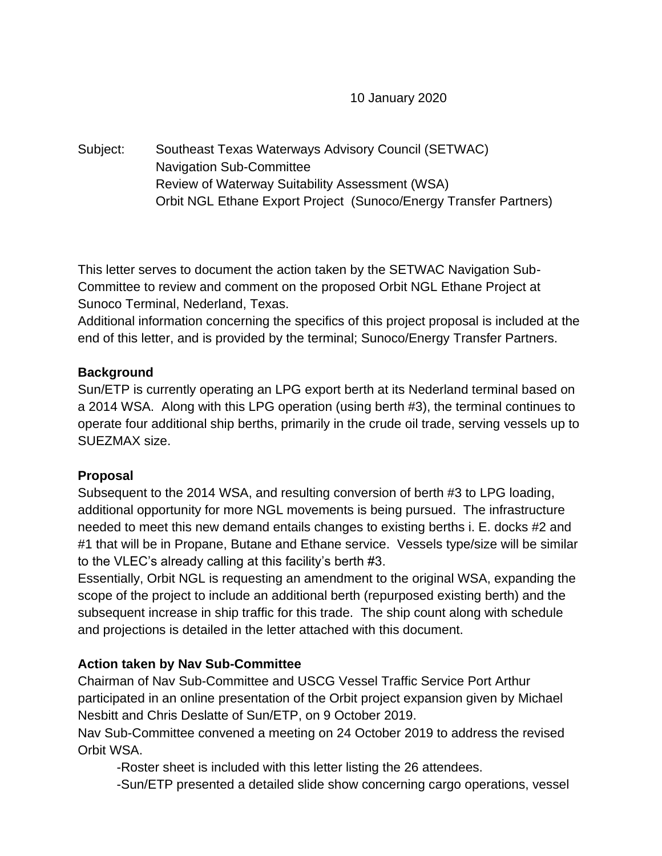10 January 2020

Subject: Southeast Texas Waterways Advisory Council (SETWAC) Navigation Sub-Committee Review of Waterway Suitability Assessment (WSA) Orbit NGL Ethane Export Project (Sunoco/Energy Transfer Partners)

This letter serves to document the action taken by the SETWAC Navigation Sub-Committee to review and comment on the proposed Orbit NGL Ethane Project at Sunoco Terminal, Nederland, Texas.

Additional information concerning the specifics of this project proposal is included at the end of this letter, and is provided by the terminal; Sunoco/Energy Transfer Partners.

### **Background**

Sun/ETP is currently operating an LPG export berth at its Nederland terminal based on a 2014 WSA. Along with this LPG operation (using berth #3), the terminal continues to operate four additional ship berths, primarily in the crude oil trade, serving vessels up to SUEZMAX size.

# **Proposal**

Subsequent to the 2014 WSA, and resulting conversion of berth #3 to LPG loading, additional opportunity for more NGL movements is being pursued. The infrastructure needed to meet this new demand entails changes to existing berths i. E. docks #2 and #1 that will be in Propane, Butane and Ethane service. Vessels type/size will be similar to the VLEC's already calling at this facility's berth #3.

Essentially, Orbit NGL is requesting an amendment to the original WSA, expanding the scope of the project to include an additional berth (repurposed existing berth) and the subsequent increase in ship traffic for this trade. The ship count along with schedule and projections is detailed in the letter attached with this document.

# **Action taken by Nav Sub-Committee**

Chairman of Nav Sub-Committee and USCG Vessel Traffic Service Port Arthur participated in an online presentation of the Orbit project expansion given by Michael Nesbitt and Chris Deslatte of Sun/ETP, on 9 October 2019.

Nav Sub-Committee convened a meeting on 24 October 2019 to address the revised Orbit WSA.

-Roster sheet is included with this letter listing the 26 attendees.

-Sun/ETP presented a detailed slide show concerning cargo operations, vessel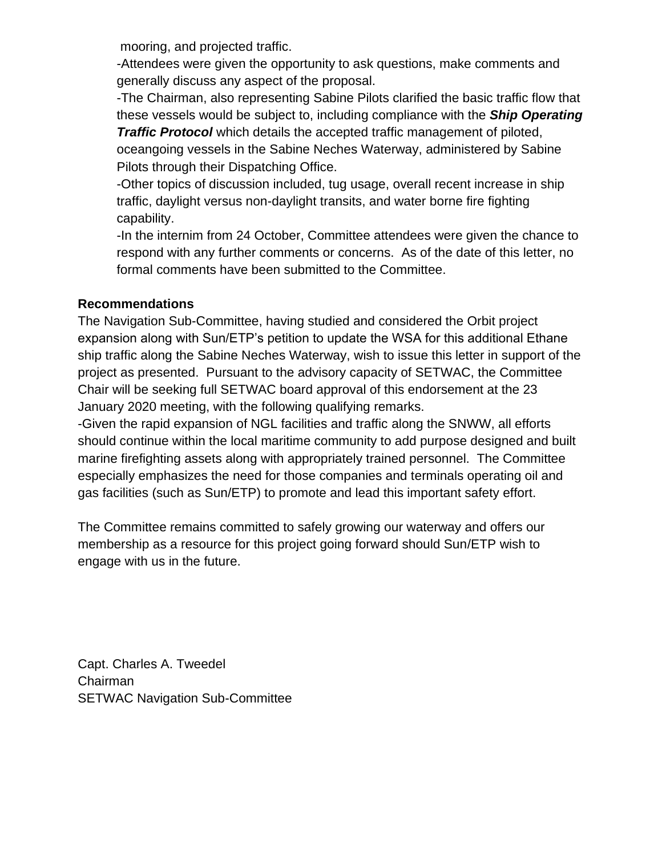mooring, and projected traffic.

 -Attendees were given the opportunity to ask questions, make comments and generally discuss any aspect of the proposal.

-The Chairman, also representing Sabine Pilots clarified the basic traffic flow that these vessels would be subject to, including compliance with the *Ship Operating Traffic Protocol* which details the accepted traffic management of piloted,

oceangoing vessels in the Sabine Neches Waterway, administered by Sabine Pilots through their Dispatching Office.

-Other topics of discussion included, tug usage, overall recent increase in ship traffic, daylight versus non-daylight transits, and water borne fire fighting capability.

-In the internim from 24 October, Committee attendees were given the chance to respond with any further comments or concerns. As of the date of this letter, no formal comments have been submitted to the Committee.

#### **Recommendations**

The Navigation Sub-Committee, having studied and considered the Orbit project expansion along with Sun/ETP's petition to update the WSA for this additional Ethane ship traffic along the Sabine Neches Waterway, wish to issue this letter in support of the project as presented. Pursuant to the advisory capacity of SETWAC, the Committee Chair will be seeking full SETWAC board approval of this endorsement at the 23 January 2020 meeting, with the following qualifying remarks.

-Given the rapid expansion of NGL facilities and traffic along the SNWW, all efforts should continue within the local maritime community to add purpose designed and built marine firefighting assets along with appropriately trained personnel. The Committee especially emphasizes the need for those companies and terminals operating oil and gas facilities (such as Sun/ETP) to promote and lead this important safety effort.

The Committee remains committed to safely growing our waterway and offers our membership as a resource for this project going forward should Sun/ETP wish to engage with us in the future.

Capt. Charles A. Tweedel Chairman SETWAC Navigation Sub-Committee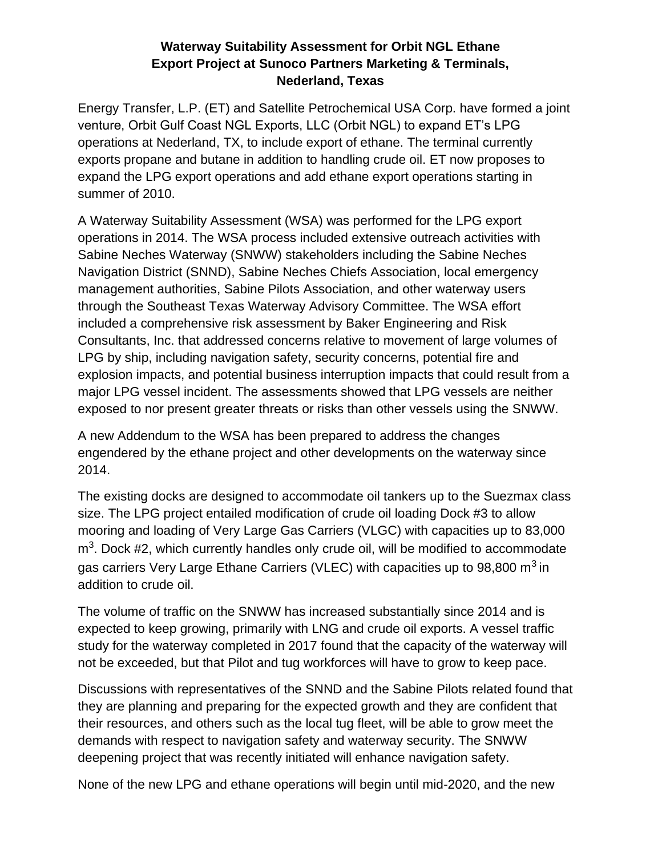#### **Waterway Suitability Assessment for Orbit NGL Ethane Export Project at Sunoco Partners Marketing & Terminals, Nederland, Texas**

Energy Transfer, L.P. (ET) and Satellite Petrochemical USA Corp. have formed a joint venture, Orbit Gulf Coast NGL Exports, LLC (Orbit NGL) to expand ET's LPG operations at Nederland, TX, to include export of ethane. The terminal currently exports propane and butane in addition to handling crude oil. ET now proposes to expand the LPG export operations and add ethane export operations starting in summer of 2010.

A Waterway Suitability Assessment (WSA) was performed for the LPG export operations in 2014. The WSA process included extensive outreach activities with Sabine Neches Waterway (SNWW) stakeholders including the Sabine Neches Navigation District (SNND), Sabine Neches Chiefs Association, local emergency management authorities, Sabine Pilots Association, and other waterway users through the Southeast Texas Waterway Advisory Committee. The WSA effort included a comprehensive risk assessment by Baker Engineering and Risk Consultants, Inc. that addressed concerns relative to movement of large volumes of LPG by ship, including navigation safety, security concerns, potential fire and explosion impacts, and potential business interruption impacts that could result from a major LPG vessel incident. The assessments showed that LPG vessels are neither exposed to nor present greater threats or risks than other vessels using the SNWW.

A new Addendum to the WSA has been prepared to address the changes engendered by the ethane project and other developments on the waterway since 2014.

The existing docks are designed to accommodate oil tankers up to the Suezmax class size. The LPG project entailed modification of crude oil loading Dock #3 to allow mooring and loading of Very Large Gas Carriers (VLGC) with capacities up to 83,000 m<sup>3</sup>. Dock #2, which currently handles only crude oil, will be modified to accommodate gas carriers Very Large Ethane Carriers (VLEC) with capacities up to 98,800  $m<sup>3</sup>$  in addition to crude oil.

The volume of traffic on the SNWW has increased substantially since 2014 and is expected to keep growing, primarily with LNG and crude oil exports. A vessel traffic study for the waterway completed in 2017 found that the capacity of the waterway will not be exceeded, but that Pilot and tug workforces will have to grow to keep pace.

Discussions with representatives of the SNND and the Sabine Pilots related found that they are planning and preparing for the expected growth and they are confident that their resources, and others such as the local tug fleet, will be able to grow meet the demands with respect to navigation safety and waterway security. The SNWW deepening project that was recently initiated will enhance navigation safety.

None of the new LPG and ethane operations will begin until mid-2020, and the new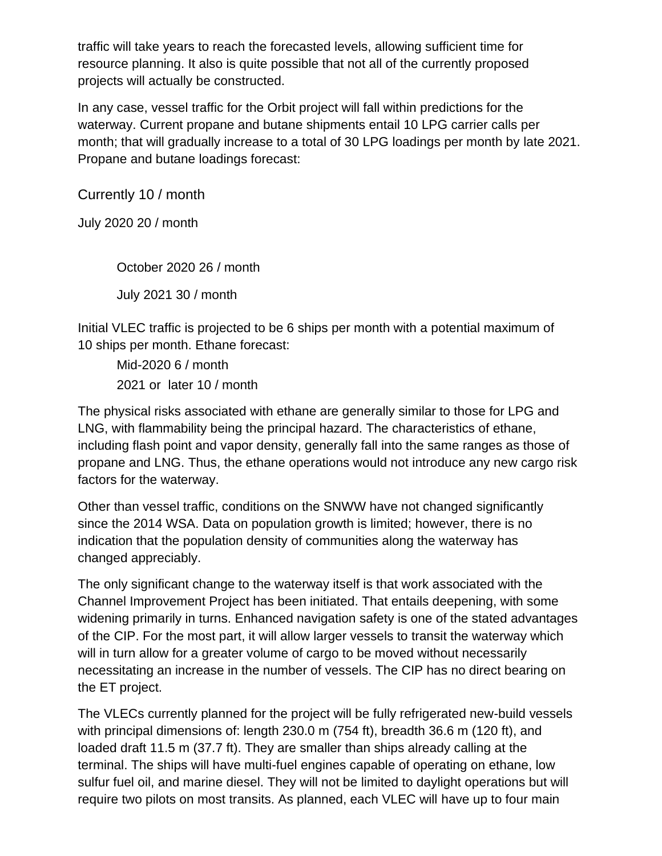traffic will take years to reach the forecasted levels, allowing sufficient time for resource planning. It also is quite possible that not all of the currently proposed projects will actually be constructed.

In any case, vessel traffic for the Orbit project will fall within predictions for the waterway. Current propane and butane shipments entail 10 LPG carrier calls per month; that will gradually increase to a total of 30 LPG loadings per month by late 2021. Propane and butane loadings forecast:

Currently 10 / month

July 2020 20 / month

October 2020 26 / month July 2021 30 / month

Initial VLEC traffic is projected to be 6 ships per month with a potential maximum of 10 ships per month. Ethane forecast:

Mid-2020 6 / month 2021 or later 10 / month

The physical risks associated with ethane are generally similar to those for LPG and LNG, with flammability being the principal hazard. The characteristics of ethane, including flash point and vapor density, generally fall into the same ranges as those of propane and LNG. Thus, the ethane operations would not introduce any new cargo risk factors for the waterway.

Other than vessel traffic, conditions on the SNWW have not changed significantly since the 2014 WSA. Data on population growth is limited; however, there is no indication that the population density of communities along the waterway has changed appreciably.

The only significant change to the waterway itself is that work associated with the Channel Improvement Project has been initiated. That entails deepening, with some widening primarily in turns. Enhanced navigation safety is one of the stated advantages of the CIP. For the most part, it will allow larger vessels to transit the waterway which will in turn allow for a greater volume of cargo to be moved without necessarily necessitating an increase in the number of vessels. The CIP has no direct bearing on the ET project.

The VLECs currently planned for the project will be fully refrigerated new-build vessels with principal dimensions of: length 230.0 m (754 ft), breadth 36.6 m (120 ft), and loaded draft 11.5 m (37.7 ft). They are smaller than ships already calling at the terminal. The ships will have multi-fuel engines capable of operating on ethane, low sulfur fuel oil, and marine diesel. They will not be limited to daylight operations but will require two pilots on most transits. As planned, each VLEC will have up to four main